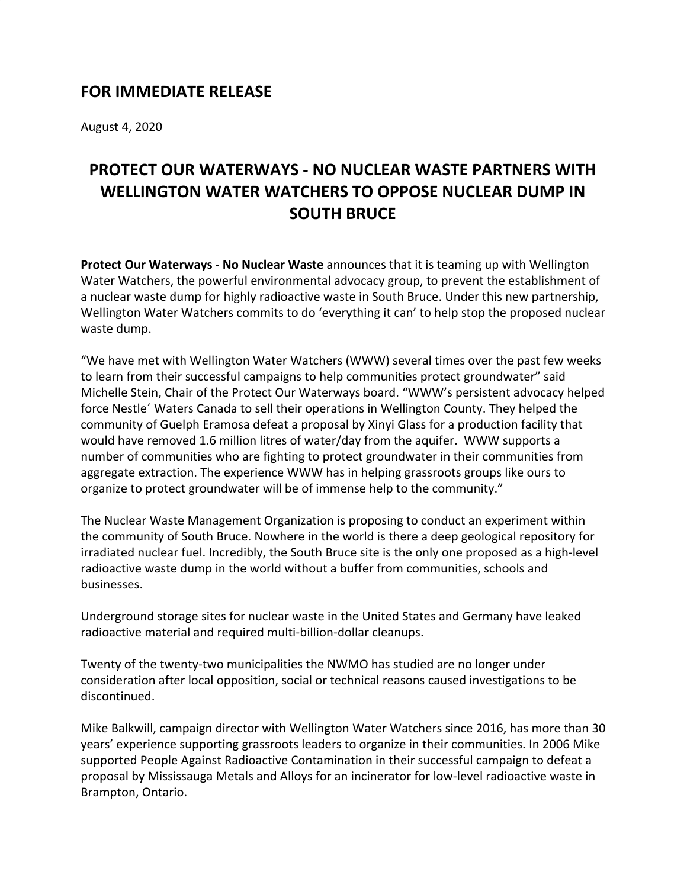## **FOR IMMEDIATE RELEASE**

August 4, 2020

## **PROTECT OUR WATERWAYS - NO NUCLEAR WASTE PARTNERS WITH WELLINGTON WATER WATCHERS TO OPPOSE NUCLEAR DUMP IN SOUTH BRUCE**

**Protect Our Waterways - No Nuclear Waste** announces that it is teaming up with Wellington Water Watchers, the powerful environmental advocacy group, to prevent the establishment of a nuclear waste dump for highly radioactive waste in South Bruce. Under this new partnership, Wellington Water Watchers commits to do 'everything it can' to help stop the proposed nuclear waste dump.

"We have met with Wellington Water Watchers (WWW) several times over the past few weeks to learn from their successful campaigns to help communities protect groundwater" said Michelle Stein, Chair of the Protect Our Waterways board. "WWW's persistent advocacy helped force Nestle´ Waters Canada to sell their operations in Wellington County. They helped the community of Guelph Eramosa defeat a proposal by Xinyi Glass for a production facility that would have removed 1.6 million litres of water/day from the aquifer. WWW supports a number of communities who are fighting to protect groundwater in their communities from aggregate extraction. The experience WWW has in helping grassroots groups like ours to organize to protect groundwater will be of immense help to the community."

The Nuclear Waste Management Organization is proposing to conduct an experiment within the community of South Bruce. Nowhere in the world is there a deep geological repository for irradiated nuclear fuel. Incredibly, the South Bruce site is the only one proposed as a high-level radioactive waste dump in the world without a buffer from communities, schools and businesses.

Underground storage sites for nuclear waste in the United States and Germany have leaked radioactive material and required multi-billion-dollar cleanups.

Twenty of the twenty-two municipalities the NWMO has studied are no longer under consideration after local opposition, social or technical reasons caused investigations to be discontinued.

Mike Balkwill, campaign director with Wellington Water Watchers since 2016, has more than 30 years' experience supporting grassroots leaders to organize in their communities. In 2006 Mike supported People Against Radioactive Contamination in their successful campaign to defeat a proposal by Mississauga Metals and Alloys for an incinerator for low-level radioactive waste in Brampton, Ontario.